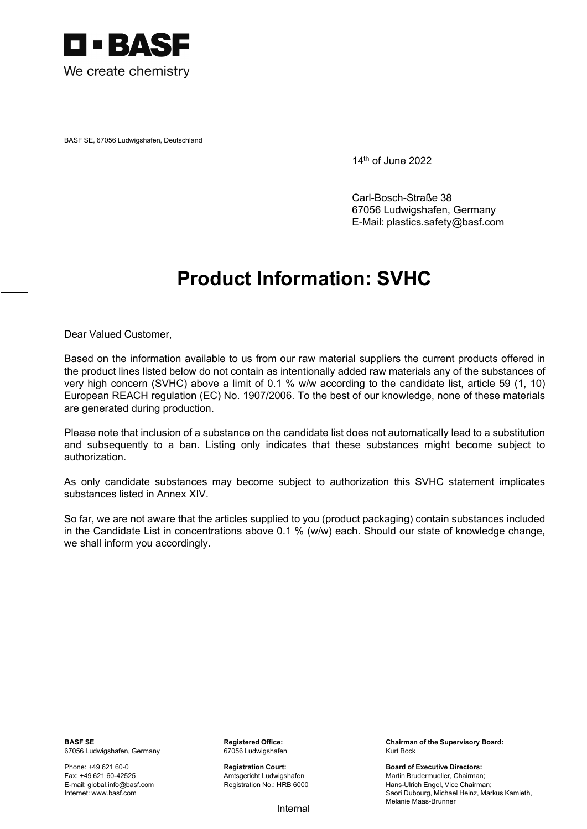

BASF SE, 67056 Ludwigshafen, Deutschland

14th of June 2022

Carl-Bosch-Straße 38 67056 Ludwigshafen, Germany E-Mail: plastics.safety@basf.com

## **Product Information: SVHC**

Dear Valued Customer,

Based on the information available to us from our raw material suppliers the current products offered in the product lines listed below do not contain as intentionally added raw materials any of the substances of very high concern (SVHC) above a limit of 0.1 % w/w according to the candidate list, article 59 (1, 10) European REACH regulation (EC) No. 1907/2006. To the best of our knowledge, none of these materials are generated during production.

Please note that inclusion of a substance on the candidate list does not automatically lead to a substitution and subsequently to a ban. Listing only indicates that these substances might become subject to authorization.

As only candidate substances may become subject to authorization this SVHC statement implicates substances listed in Annex XIV.

So far, we are not aware that the articles supplied to you (product packaging) contain substances included in the Candidate List in concentrations above 0.1 % (w/w) each. Should our state of knowledge change, we shall inform you accordingly.

67056 Ludwigshafen, Germany 67056 Ludwigshafen Kurt Bock

E-mail: global.info@basf.com Internet: www.basf.com

**BASF SE Registered Office:** Chairman of the Supervisory Board: **Chairman of the Supervisory Board:** 

Phone: +49 621 60-0 **Registration Court:** Board of Executive Directors: Fax: +49 621 60-42525 Amtsgericht Ludwigshafen Martin Brudermueller, Chairman; Registration No.: HRB 6000 Hans-Ulrich Engel, Vice Chairman; Saori Dubourg, Michael Heinz, Markus Kamieth, Melanie Maas-Brunner

Internal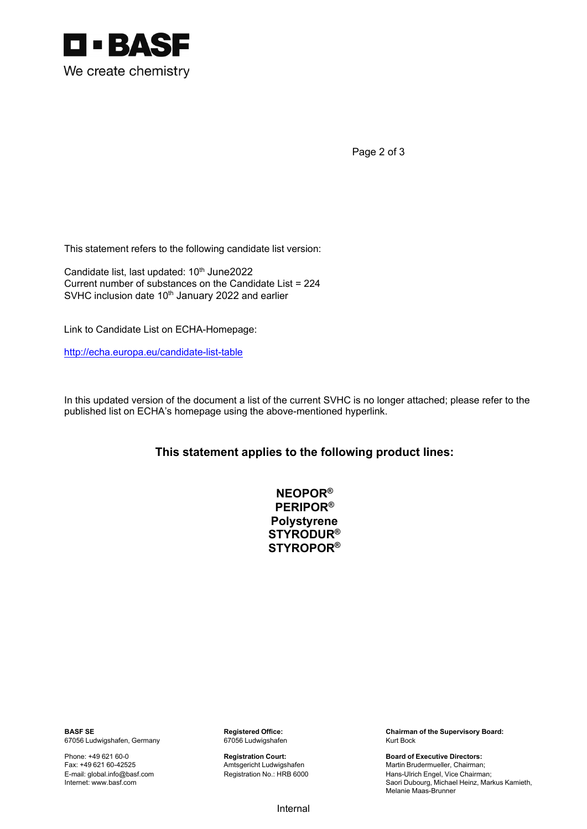

Page 2 of 3

This statement refers to the following candidate list version:

Candidate list, last updated: 10<sup>th</sup> June2022 Current number of substances on the Candidate List = 224 SVHC inclusion date 10<sup>th</sup> January 2022 and earlier

Link to Candidate List on ECHA-Homepage:

http://echa.europa.eu/candidate-list-table

In this updated version of the document a list of the current SVHC is no longer attached; please refer to the published list on ECHA's homepage using the above-mentioned hyperlink.

## **This statement applies to the following product lines:**

| NEOPOR $^\circledR$          |
|------------------------------|
| $\mathsf{PERIPOR}^\circledR$ |
| Polystyrene                  |
| <b>STYRODUR®</b>             |
| <b>STYROPOR®</b>             |

67056 Ludwigshafen, Germany 67056 Ludwigshafen Kurt Bock

E-mail: global.info@basf.com Internet: www.basf.com

**BASF SE BASF SE Registered Office:** Chairman of the Supervisory Board: **Chairman of the Supervisory Board: Chairman of the Supervisory Board: 67056** Ludwigshafen **Chairman of the Supervisory Board:** 67056 Ludwigsh

Phone: +49 621 60-0 **Registration Court: Registration Court: Board of Executive Directors: Registration Court: Board of Executive Directors: Propertion Court: Registration Court: Board of Executive Directors:** Fax: +49 621 60-42525 Amtsgericht Ludwigshafen Martin Brudermueller, Chairman; Hans-Ulrich Engel, Vice Chairman; Saori Dubourg, Michael Heinz, Markus Kamieth, Melanie Maas-Brunner

Internal